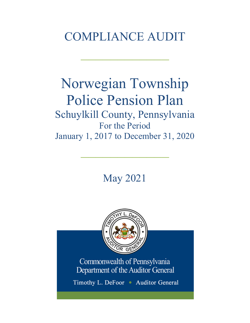# COMPLIANCE AUDIT

 $\frac{1}{2}$ 

# Norwegian Township Police Pension Plan Schuylkill County, Pennsylvania For the Period January 1, 2017 to December 31, 2020

May 2021

 $\frac{1}{2}$ 



Commonwealth of Pennsylvania Department of the Auditor General

Timothy L. DeFoor • Auditor General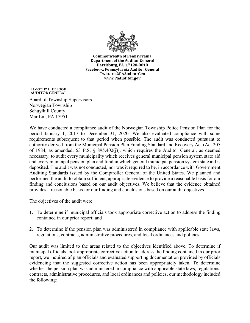

**Commonwealth of Pennsylvania** Department of the Auditor General Harrisburg, PA 17120-0018 Facebook: Pennsylvania Auditor General Twitter: @PAAuditorGen www.PaAuditor.gov

TIMOTHY L. DEFOOR **AUDITOR GENERAL** 

Board of Township Supervisors Norwegian Township Schuylkill County Mar Lin, PA 17951

We have conducted a compliance audit of the Norwegian Township Police Pension Plan for the period January 1, 2017 to December 31, 2020. We also evaluated compliance with some requirements subsequent to that period when possible. The audit was conducted pursuant to authority derived from the Municipal Pension Plan Funding Standard and Recovery Act (Act 205 of 1984, as amended, 53 P.S. § 895.402(j)), which requires the Auditor General, as deemed necessary, to audit every municipality which receives general municipal pension system state aid and every municipal pension plan and fund in which general municipal pension system state aid is deposited. The audit was not conducted, nor was it required to be, in accordance with Government Auditing Standards issued by the Comptroller General of the United States. We planned and performed the audit to obtain sufficient, appropriate evidence to provide a reasonable basis for our finding and conclusions based on our audit objectives. We believe that the evidence obtained provides a reasonable basis for our finding and conclusions based on our audit objectives.

The objectives of the audit were:

- 1. To determine if municipal officials took appropriate corrective action to address the finding contained in our prior report; and
- 2. To determine if the pension plan was administered in compliance with applicable state laws, regulations, contracts, administrative procedures, and local ordinances and policies.

Our audit was limited to the areas related to the objectives identified above. To determine if municipal officials took appropriate corrective action to address the finding contained in our prior report, we inquired of plan officials and evaluated supporting documentation provided by officials evidencing that the suggested corrective action has been appropriately taken. To determine whether the pension plan was administered in compliance with applicable state laws, regulations, contracts, administrative procedures, and local ordinances and policies, our methodology included the following: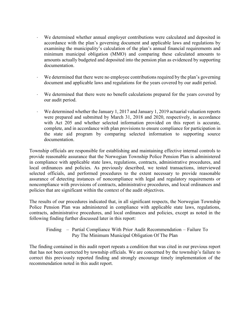- ⋅ We determined whether annual employer contributions were calculated and deposited in accordance with the plan's governing document and applicable laws and regulations by examining the municipality's calculation of the plan's annual financial requirements and minimum municipal obligation (MMO) and comparing these calculated amounts to amounts actually budgeted and deposited into the pension plan as evidenced by supporting documentation.
- We determined that there were no employee contributions required by the plan's governing document and applicable laws and regulations for the years covered by our audit period.
- We determined that there were no benefit calculations prepared for the years covered by our audit period.
- We determined whether the January 1, 2017 and January 1, 2019 actuarial valuation reports were prepared and submitted by March 31, 2018 and 2020, respectively, in accordance with Act 205 and whether selected information provided on this report is accurate, complete, and in accordance with plan provisions to ensure compliance for participation in the state aid program by comparing selected information to supporting source documentation.

Township officials are responsible for establishing and maintaining effective internal controls to provide reasonable assurance that the Norwegian Township Police Pension Plan is administered in compliance with applicable state laws, regulations, contracts, administrative procedures, and local ordinances and policies. As previously described, we tested transactions, interviewed selected officials, and performed procedures to the extent necessary to provide reasonable assurance of detecting instances of noncompliance with legal and regulatory requirements or noncompliance with provisions of contracts, administrative procedures, and local ordinances and policies that are significant within the context of the audit objectives.

The results of our procedures indicated that, in all significant respects, the Norwegian Township Police Pension Plan was administered in compliance with applicable state laws, regulations, contracts, administrative procedures, and local ordinances and policies, except as noted in the following finding further discussed later in this report:

```
Finding – Partial Compliance With Prior Audit Recommendation – Failure To 
Pay The Minimum Municipal Obligation Of The Plan
```
The finding contained in this audit report repeats a condition that was cited in our previous report that has not been corrected by township officials. We are concerned by the township's failure to correct this previously reported finding and strongly encourage timely implementation of the recommendation noted in this audit report.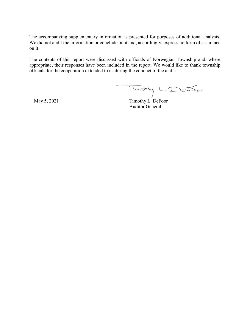The accompanying supplementary information is presented for purposes of additional analysis. We did not audit the information or conclude on it and, accordingly, express no form of assurance on it.

The contents of this report were discussed with officials of Norwegian Township and, where appropriate, their responses have been included in the report. We would like to thank township officials for the cooperation extended to us during the conduct of the audit.

 $\overline{1_{im \text{at}}}$  L. DeFoor

Auditor General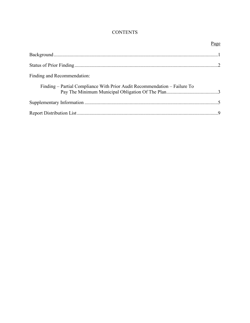# **CONTENTS**

|                                                                           | Page |
|---------------------------------------------------------------------------|------|
|                                                                           |      |
|                                                                           |      |
| Finding and Recommendation:                                               |      |
| Finding – Partial Compliance With Prior Audit Recommendation – Failure To |      |
|                                                                           |      |
|                                                                           |      |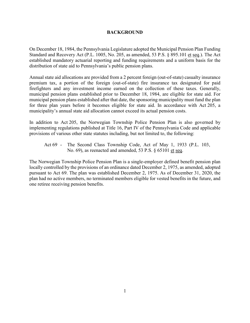#### **BACKGROUND**

On December 18, 1984, the Pennsylvania Legislature adopted the Municipal Pension Plan Funding Standard and Recovery Act (P.L. 1005, No. 205, as amended, 53 P.S. § 895.101 et seq.). The Act established mandatory actuarial reporting and funding requirements and a uniform basis for the distribution of state aid to Pennsylvania's public pension plans.

Annual state aid allocations are provided from a 2 percent foreign (out-of-state) casualty insurance premium tax, a portion of the foreign (out-of-state) fire insurance tax designated for paid firefighters and any investment income earned on the collection of these taxes. Generally, municipal pension plans established prior to December 18, 1984, are eligible for state aid. For municipal pension plans established after that date, the sponsoring municipality must fund the plan for three plan years before it becomes eligible for state aid. In accordance with Act 205, a municipality's annual state aid allocation cannot exceed its actual pension costs.

In addition to Act 205, the Norwegian Township Police Pension Plan is also governed by implementing regulations published at Title 16, Part IV of the Pennsylvania Code and applicable provisions of various other state statutes including, but not limited to, the following:

Act 69 - The Second Class Township Code, Act of May 1, 1933 (P.L. 103, No. 69), as reenacted and amended, 53 P.S. § 65101 et seq.

The Norwegian Township Police Pension Plan is a single-employer defined benefit pension plan locally controlled by the provisions of an ordinance dated December 2, 1975, as amended, adopted pursuant to Act 69. The plan was established December 2, 1975. As of December 31, 2020, the plan had no active members, no terminated members eligible for vested benefits in the future, and one retiree receiving pension benefits.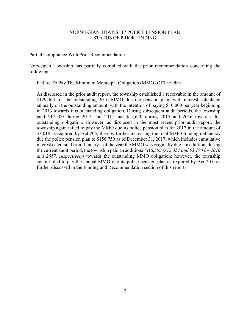## NORWEGIAN TOWNSHIP POLICE PENSION PLAN STATUS OF PRIOR FINDING

#### Partial Compliance With Prior Recommendation

Norwegian Township has partially complied with the prior recommendation concerning the following:

#### ∙ Failure To Pay The Minimum Municipal Obligation (MMO) Of The Plan

As disclosed in the prior audit report, the township established a receivable in the amount of \$129,364 for the outstanding 2010 MMO due the pension plan, with interest calculated annually on the outstanding amount, with the intention of paying \$10,000 per year beginning in 2013 towards this outstanding obligation. During subsequent audit periods, the township paid \$17,500 during 2013 and 2014 and \$15,620 during 2015 and 2016 towards this outstanding obligation. However, as disclosed in the most recent prior audit report, the township again failed to pay the MMO due its police pension plan for 2017 in the amount of \$3,018 as required by Act 205, thereby further increasing the total MMO funding deficiency due the police pension plan to \$156,750 as of December 31, 2017, which includes cumulative interest calculated from January 1 of the year the MMO was originally due. In addition, during the current audit period, the township paid an additional \$16,555 *(\$13,357 and \$3,190 for 2010 and 2017, respectively)* towards the outstanding MMO obligation; however, the township again failed to pay the annual MMO due its police pension plan as required by Act 205, as further discussed in the Finding and Recommendation section of this report.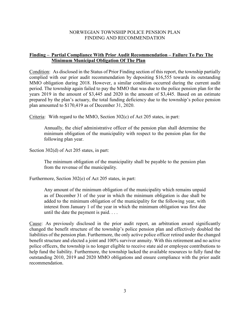#### NORWEGIAN TOWNSHIP POLICE PENSION PLAN FINDING AND RECOMMENDATION

## **Finding – Partial Compliance With Prior Audit Recommendation – Failure To Pay The Minimum Municipal Obligation Of The Plan**

Condition: As disclosed in the Status of Prior Finding section of this report, the township partially complied with our prior audit recommendation by depositing \$16,555 towards its outstanding MMO obligation during 2018. However, a similar condition occurred during the current audit period. The township again failed to pay the MMO that was due to the police pension plan for the years 2019 in the amount of \$3,445 and 2020 in the amount of \$3,445. Based on an estimate prepared by the plan's actuary, the total funding deficiency due to the township's police pension plan amounted to \$170,419 as of December 31, 2020.

Criteria: With regard to the MMO, Section 302(c) of Act 205 states, in part:

Annually, the chief administrative officer of the pension plan shall determine the minimum obligation of the municipality with respect to the pension plan for the following plan year.

Section 302(d) of Act 205 states, in part:

The minimum obligation of the municipality shall be payable to the pension plan from the revenue of the municipality.

Furthermore, Section 302(e) of Act 205 states, in part:

Any amount of the minimum obligation of the municipality which remains unpaid as of December 31 of the year in which the minimum obligation is due shall be added to the minimum obligation of the municipality for the following year, with interest from January 1 of the year in which the minimum obligation was first due until the date the payment is paid. . . .

Cause: As previously disclosed in the prior audit report, an arbitration award significantly changed the benefit structure of the township's police pension plan and effectively doubled the liabilities of the pension plan. Furthermore, the only active police officer retired under the changed benefit structure and elected a joint and 100% survivor annuity. With this retirement and no active police officers, the township is no longer eligible to receive state aid or employee contributions to help fund the liability. Furthermore, the township lacked the available resources to fully fund the outstanding 2010, 2019 and 2020 MMO obligations and ensure compliance with the prior audit recommendation.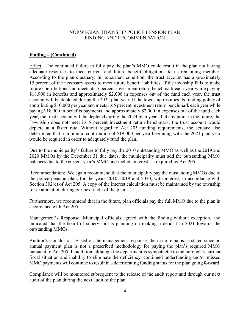#### NORWEGIAN TOWNSHIP POLICE PENSION PLAN FINDING AND RECOMMENDATION

#### **Finding – (Continued)**

Effect: The continued failure to fully pay the plan's MMO could result in the plan not having adequate resources to meet current and future benefit obligations to its remaining member. According to the plan's actuary, in its current condition, the trust account has approximately 15 percent of the necessary assets to meet future benefit liabilities. If the township fails to make future contributions and meets its 5 percent investment return benchmark each year while paying \$18,900 in benefits and approximately \$2,000 in expenses out of the fund each year, the trust account will be depleted during the 2022 plan year. If the township resumes its funding policy of contributing \$10,000 per year and meets its 5 percent investment return benchmark each year while paying \$18,900 in benefits payments and approximately \$2,000 in expenses out of the fund each year, the trust account will be depleted during the 2024 plan year. If at any point in the future, the Township does not meet its 5 percent investment return benchmark, the trust account would deplete at a faster rate. Without regard to Act 205 funding requirements, the actuary also determined that a minimum contribution of \$19,000 per year beginning with the 2021 plan year would be required in order to adequately fund the plan.

Due to the municipality's failure to fully pay the 2010 outstanding MMO as well as the 2019 and 2020 MMOs by the December 31 due dates, the municipality must add the outstanding MMO balances due to the current year's MMO and include interest, as required by Act 205.

Recommendation: We again recommend that the municipality pay the outstanding MMOs due to the police pension plan, for the years 2010, 2019 and 2020, with interest, in accordance with Section 302(e) of Act 205. A copy of the interest calculation must be maintained by the township for examination during our next audit of the plan.

Furthermore, we recommend that in the future, plan officials pay the full MMO due to the plan in accordance with Act 205.

Management's Response: Municipal officials agreed with the finding without exception, and indicated that the board of supervisors is planning on making a deposit in 2021 towards the outstanding MMOs.

Auditor's Conclusion: Based on the management response, the issue remains as stated since an annual payment plan is not a prescribed methodology for paying the plan's required MMO pursuant to Act 205. In addition, although the department is sympathetic to the borough's current fiscal situation and inability to eliminate the deficiency, continued underfunding and/or missed MMO payments will continue to result in a deteriorating funding status for the plan going forward.

Compliance will be monitored subsequent to the release of the audit report and through our next audit of the plan during the next audit of the plan.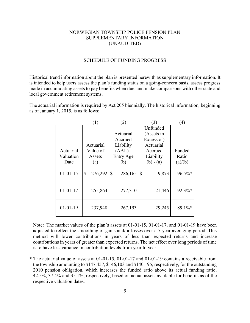## NORWEGIAN TOWNSHIP POLICE PENSION PLAN SUPPLEMENTARY INFORMATION (UNAUDITED)

#### SCHEDULE OF FUNDING PROGRESS

Historical trend information about the plan is presented herewith as supplementary information. It is intended to help users assess the plan's funding status on a going-concern basis, assess progress made in accumulating assets to pay benefits when due, and make comparisons with other state and local government retirement systems.

The actuarial information is required by Act 205 biennially. The historical information, beginning as of January 1, 2015, is as follows:

|                | (1)           | $^{(2)}$      | 3)                     | (4)     |
|----------------|---------------|---------------|------------------------|---------|
|                |               |               | Unfunded               |         |
|                |               | Actuarial     | (Assets in             |         |
|                |               | Accrued       | Excess of)             |         |
|                | Actuarial     | Liability     | Actuarial              |         |
| Actuarial      | Value of      | $(AAL)$ -     | Accrued                | Funded  |
| Valuation      | Assets        | Entry Age     | Liability              | Ratio   |
| Date           | (a)           | (b)           | $(b) - (a)$            | (a)/(b) |
| $01 - 01 - 15$ | 276,292<br>\$ | \$<br>286,165 | 9,873<br>$\mathcal{S}$ | 96.5%*  |
| $01 - 01 - 17$ | 255,864       | 277,310       | 21,446                 | 92.3%*  |
| $01 - 01 - 19$ | 237,948       | 267,193       | 29,245                 | 89.1%*  |

Note: The market values of the plan's assets at 01-01-15, 01-01-17, and 01-01-19 have been adjusted to reflect the smoothing of gains and/or losses over a 5-year averaging period. This method will lower contributions in years of less than expected returns and increase contributions in years of greater than expected returns. The net effect over long periods of time is to have less variance in contribution levels from year to year.

\* The actuarial value of assets at 01-01-15, 01-01-17 and 01-01-19 contains a receivable from the township amounting to \$147,457, \$146,103 and \$140,195, respectively, for the outstanding 2010 pension obligation, which increases the funded ratio above its actual funding ratio, 42.5%, 37.4% and 35.1%, respectively, based on actual assets available for benefits as of the respective valuation dates.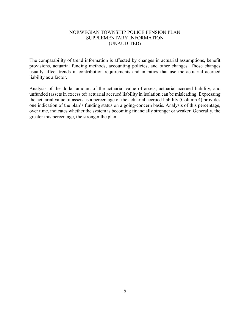# NORWEGIAN TOWNSHIP POLICE PENSION PLAN SUPPLEMENTARY INFORMATION (UNAUDITED)

The comparability of trend information is affected by changes in actuarial assumptions, benefit provisions, actuarial funding methods, accounting policies, and other changes. Those changes usually affect trends in contribution requirements and in ratios that use the actuarial accrued liability as a factor.

Analysis of the dollar amount of the actuarial value of assets, actuarial accrued liability, and unfunded (assets in excess of) actuarial accrued liability in isolation can be misleading. Expressing the actuarial value of assets as a percentage of the actuarial accrued liability (Column 4) provides one indication of the plan's funding status on a going-concern basis. Analysis of this percentage, over time, indicates whether the system is becoming financially stronger or weaker. Generally, the greater this percentage, the stronger the plan.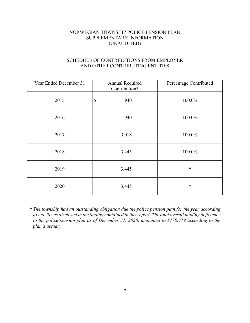# NORWEGIAN TOWNSHIP POLICE PENSION PLAN SUPPLEMENTARY INFORMATION (UNAUDITED)

# SCHEDULE OF CONTRIBUTIONS FROM EMPLOYER AND OTHER CONTRIBUTING ENTITIES

| Year Ended December 31 | Annual Required<br>Contribution* | Percentage Contributed |
|------------------------|----------------------------------|------------------------|
| 2015                   | \$<br>940                        | 100.0%                 |
| 2016                   | 940                              | 100.0%                 |
| 2017                   | 3,018                            | 100.0%                 |
| 2018                   | 3,445                            | 100.0%                 |
| 2019                   | 3,445                            | $\ast$                 |
| 2020                   | 3,445                            | $\ast$                 |

*\* The township had an outstanding obligation due the police pension plan for the year according to Act 205 as disclosed in the finding contained in this report. The total overall funding deficiency to the police pension plan as of December 31, 2020, amounted to \$170,419 according to the plan's actuary.*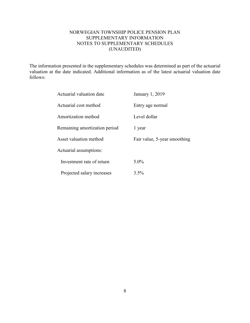# NORWEGIAN TOWNSHIP POLICE PENSION PLAN SUPPLEMENTARY INFORMATION NOTES TO SUPPLEMENTARY SCHEDULES (UNAUDITED)

The information presented in the supplementary schedules was determined as part of the actuarial valuation at the date indicated. Additional information as of the latest actuarial valuation date follows:

| Actuarial valuation date      | January 1, 2019              |
|-------------------------------|------------------------------|
| Actuarial cost method         | Entry age normal             |
| Amortization method           | Level dollar                 |
| Remaining amortization period | 1 year                       |
| Asset valuation method        | Fair value, 5-year smoothing |
| Actuarial assumptions:        |                              |
| Investment rate of return     | $5.0\%$                      |
| Projected salary increases    | 3.5%                         |